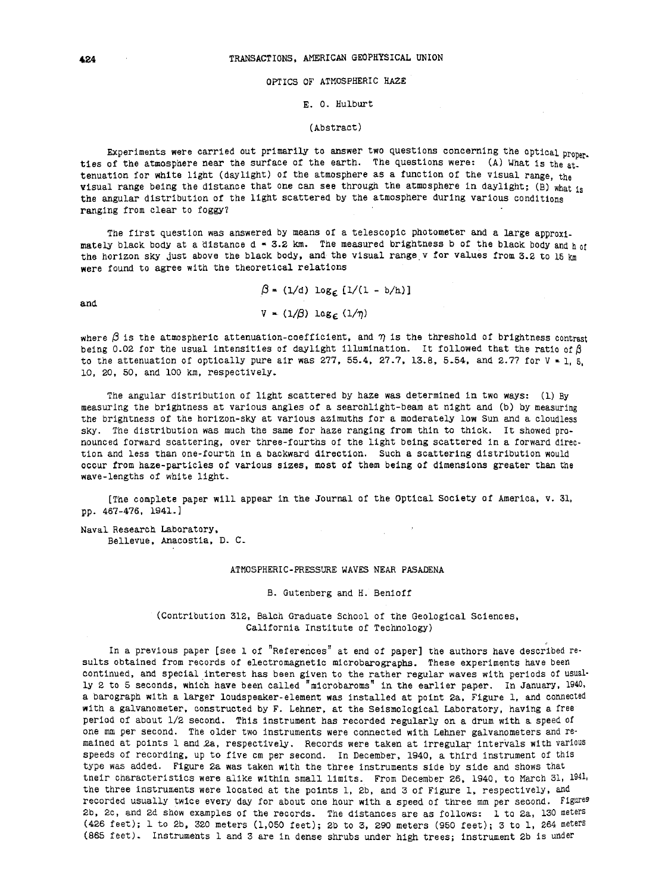## OPTICS OF ATMOSPHERIC HAZE

#### E. 0. Hulburt

#### (Abstract)

Experiments were carried out primarily to answer two questions concerning the optical proper. ties of the atmosphere near the surface of the earth. The questions were: (A) What is the attenuation for white light (daylight) of the atmosphere as a function of the visual range, the visual range being the distance that one can see through the atmosphere in daylight; (B) what is the angular distribution of the light scattered by the atmosphere during various conditions ranging from clear to foggy?

The first question was answered by means of a telescopic photometer and a large approximately black body at a distance  $d = 3.2$  km. The measured brightness b of the black body and h of the horizon sky just above the black body, and the visual range v for values from 3.2 to 15 km were found to agree with the theoretical relations

and

 $\beta = (1/d) \log_{\epsilon} [1/(1 - b/h)]$  $V = (1/3)$  log<sub>c</sub>  $(1/n)$ 

where  $\beta$  is the atmospheric attenuation-coefficient, and  $\eta$  is the threshold of brightness contrast being 0.02 for the usual intensities of daylight illumination. It followed that the ratio of  $\beta$ to the attenuation of optically pure air was 277, 55.4, 27.7, 13.8, 5.54, and 2.77 for  $V = 1$ , 5, 10, 20, 50, and 100 km, respectively.

The angular distribution of light scattered by haze was determined in two ways: (1) By measuring the brightness at various angles of a searchlight-beam at night and (b) by measuring the brightness of the horizon-sky at various azimuths for a moderately low Sun and a cloudless sky. The distribution was much the same for haze ranging from thin to thick. It showed pronounced forward scattering, over three-fourths of the light being scattered in a forward direction and less than one-fourth in a backward direction. Such a scattering distribution would occur from haze-particles of various sizes, most of them being of dimensions greater than the wave-lengths of white light.

[The complete paper will appear In. the Journal of the Optical Society of America, v. 31, pp. 467-476, 1941.]

Naval Research Laboratory, Bellevue, Anacostia, D. C.

## ATMOSPHERIC-PRESSURE WAVES NEAR PASADENA

B. Gutenberg and H. Benioff

(Contribution 312, Balch Graduate School of the Geological Sciences, California Institute of Technology)

In a previous paper [see 1 of "References" at end of paper] the authors have described results obtained from records of electromagnetic microbarographs. These experiments have been continued, and special interest has been given to the rather regular waves with periods of usually 2 to 5 seconds, which have been called "microbaroms" in the earlier paper. In January, 1940, a barograph with a larger loudspeaker-element was installed at point 2a, Figure 1, and connected with a galvanometer, constructed by F. Lehner, at the Seismological Laboratory, having a free period of about 1/2 second. This instrument has recorded regularly on a drum with a speed of one mm per second. The older two instruments were connected with Lehner galvanometers and remained at points 1 and 2a, respectively. Records were taken at irregular intervals with various speeds of recording, up to five cm per second. In December, 1940, a third instrument of this type was added. Figure 2a was taken with the three instruments side by side and shows that tneir characteristics were alike within small limits. From December 26, 1940, to March 31, 1941. the three instruments were located at the points 1, 2b, and 3 of Figure 1, respectively, and recorded usually twice every day for about one hour with a speed of three mm per second. Figures 2b, 2c, and 2d show examples of the records. The distances are as follows: 1 to 2a, 130 meters (426 feet); 1 to 2b, 320 meters (1,050 feet); 2b to 3, 290 meters (950 feet); 3 to 1, 264 meters (865 feet). Instruments 1 and 3 are in dense shrubs under high trees; instrument 2b is under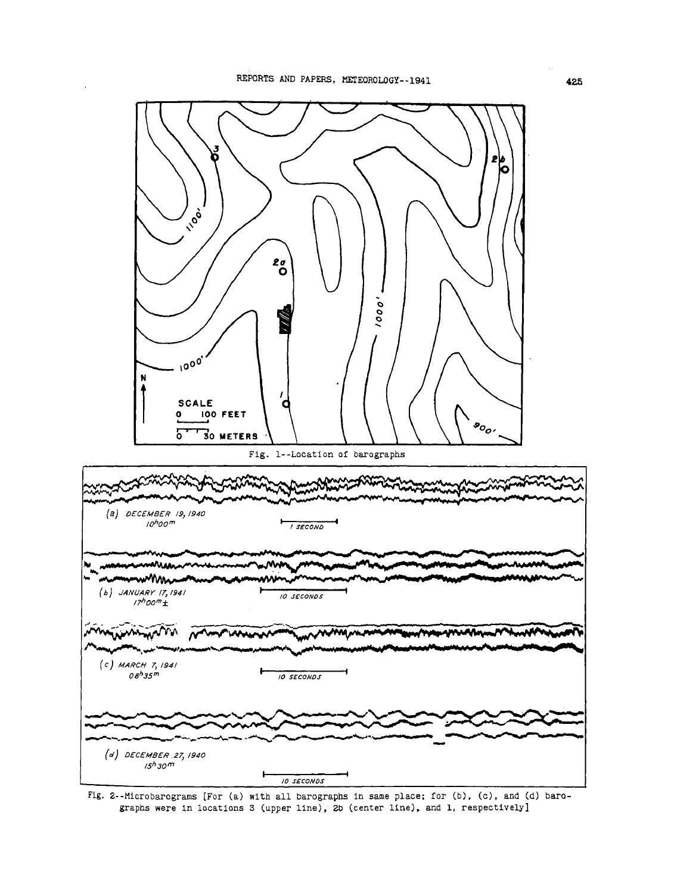

Fig. 2--Microbarograms [For (a) with all barographs in same place; for (b), (c), and (d) barographs were in locations 3 (upper line), 2b (center line), and 1, respectively]